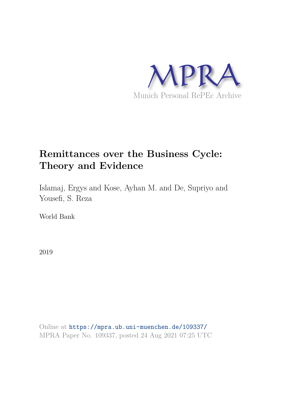

# **Remittances over the Business Cycle: Theory and Evidence**

Islamaj, Ergys and Kose, Ayhan M. and De, Supriyo and Yousefi, S. Reza

World Bank

2019

Online at https://mpra.ub.uni-muenchen.de/109337/ MPRA Paper No. 109337, posted 24 Aug 2021 07:25 UTC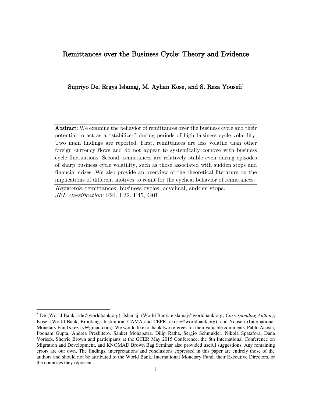# Remittances over the Business Cycle: Theory and Evidence

## Supriyo De, Ergys Islamaj, M. Ayhan Kose, and S. Reza Yousefi<sup>\*</sup>

Abstract: We examine the behavior of remittances over the business cycle and their potential to act as a "stabilizer" during periods of high business cycle volatility. Two main findings are reported. First, remittances are less volatile than other foreign currency flows and do not appear to systemically comove with business cycle fluctuations. Second, remittances are relatively stable even during episodes of sharp business cycle volatility, such as those associated with sudden stops and financial crises. We also provide an overview of the theoretical literature on the implications of different motives to remit for the cyclical behavior of remittances.

Keywords: remittances, business cycles, acyclical, sudden stops. JEL classification: F24, F32, F45, G01

<sup>\*</sup> De (World Bank; [sde@worldbank.org\)](mailto:sde@worldbank.org); Islamaj: (World Bank; [eislamaj@worldbank.org;](mailto:eislamaj@worldbank.org) *Corresponding Author*); Kose: (World Bank, Brookings Institution, CAMA and CEPR; akose@worldbank.org); and Yousefi (International Monetary Fun[d s.reza.y@gmail.com\)](mailto:s.reza.y@gmail.com). We would like to thank two referees for their valuable comments. Pablo Acosta, Poonam Gupta, Andrea Presbitero, Sanket Mohapatra, Dilip Ratha, Sergio Schmukler, Nikola Spatafora, Dana Vorisek, Sherrie Brown and participants at the GCER May 2015 Conference, the 8th International Conference on Migration and Development, and KNOMAD Brown Bag Seminar also provided useful suggestions. Any remaining errors are our own. The findings, interpretations and conclusions expressed in this paper are entirely those of the authors and should not be attributed to the World Bank, International Monetary Fund, their Executive Directors, or the countries they represent.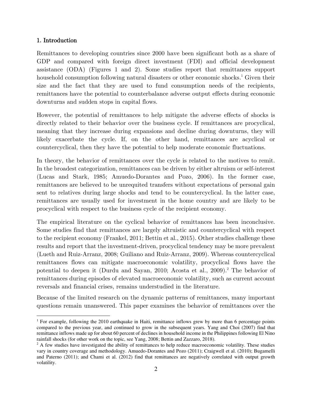#### 1. Introduction

Remittances to developing countries since 2000 have been significant both as a share of GDP and compared with foreign direct investment (FDI) and official development assistance (ODA) (Figures 1 and 2). Some studies report that remittances support household consumption following natural disasters or other economic shocks.<sup>1</sup> Given their size and the fact that they are used to fund consumption needs of the recipients, remittances have the potential to counterbalance adverse output effects during economic downturns and sudden stops in capital flows.

However, the potential of remittances to help mitigate the adverse effects of shocks is directly related to their behavior over the business cycle. If remittances are procyclical, meaning that they increase during expansions and decline during downturns, they will likely exacerbate the cycle. If, on the other hand, remittances are acyclical or countercyclical, then they have the potential to help moderate economic fluctuations.

In theory, the behavior of remittances over the cycle is related to the motives to remit. In the broadest categorization, remittances can be driven by either altruism or self-interest (Lucas and Stark, 1985; Amuedo-Dorantes and Pozo, 2006). In the former case, remittances are believed to be unrequited transfers without expectations of personal gain sent to relatives during large shocks and tend to be countercyclical. In the latter case, remittances are usually used for investment in the home country and are likely to be procyclical with respect to the business cycle of the recipient economy.

The empirical literature on the cyclical behavior of remittances has been inconclusive. Some studies find that remittances are largely altruistic and countercyclical with respect to the recipient economy (Frankel, 2011; Bettin et al., 2015). Other studies challenge these results and report that the investment-driven, procyclical tendency may be more prevalent (Lueth and Ruiz-Arranz, 2008; Guiliano and Ruiz-Arranz, 2009). Whereas countercyclical remittances flows can mitigate macroeconomic volatility, procyclical flows have the potential to deepen it (Durdu and Sayan, 2010; Acosta et al., 2009).<sup>2</sup> The behavior of remittances during episodes of elevated macroeconomic volatility, such as current account reversals and financial crises, remains understudied in the literature.

Because of the limited research on the dynamic patterns of remittances, many important questions remain unanswered. This paper examines the behavior of remittances over the

<sup>&</sup>lt;sup>1</sup> For example, following the 2010 earthquake in Haiti, remittance inflows grew by more than 6 percentage points compared to the previous year, and continued to grow in the subsequent years. Yang and Choi (2007) find that remittance inflows made up for about 60 percent of declines in household income in the Philippines following El Nino rainfall shocks (for other work on the topic, see Yang, 2008; Bettin and Zazzaro, 2018).

 $2A$  few studies have investigated the ability of remittances to help reduce macroeconomic volatility. These studies vary in country coverage and methodology. Amuedo-Dorantes and Pozo (2011); Craigwell et al. (2010); Bugamelli and Paterno (2011); and Chami et al. (2012) find that remittances are negatively correlated with output growth volatility.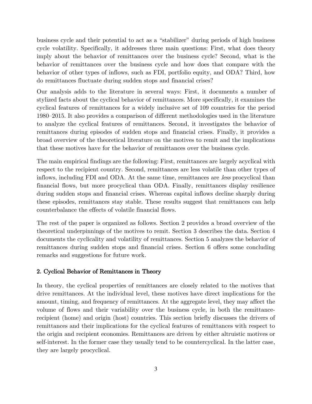business cycle and their potential to act as a "stabilizer" during periods of high business cycle volatility. Specifically, it addresses three main questions: First, what does theory imply about the behavior of remittances over the business cycle? Second, what is the behavior of remittances over the business cycle and how does that compare with the behavior of other types of inflows, such as FDI, portfolio equity, and ODA? Third, how do remittances fluctuate during sudden stops and financial crises?

Our analysis adds to the literature in several ways: First, it documents a number of stylized facts about the cyclical behavior of remittances. More specifically, it examines the cyclical features of remittances for a widely inclusive set of 109 countries for the period 1980–2015. It also provides a comparison of different methodologies used in the literature to analyze the cyclical features of remittances. Second, it investigates the behavior of remittances during episodes of sudden stops and financial crises. Finally, it provides a broad overview of the theoretical literature on the motives to remit and the implications that these motives have for the behavior of remittances over the business cycle.

The main empirical findings are the following: First, remittances are largely acyclical with respect to the recipient country. Second, remittances are less volatile than other types of inflows, including FDI and ODA. At the same time, remittances are *less* procyclical than financial flows, but more procyclical than ODA. Finally, remittances display resilience during sudden stops and financial crises. Whereas capital inflows decline sharply during these episodes, remittances stay stable. These results suggest that remittances can help counterbalance the effects of volatile financial flows.

The rest of the paper is organized as follows. Section 2 provides a broad overview of the theoretical underpinnings of the motives to remit. Section 3 describes the data. Section 4 documents the cyclicality and volatility of remittances. Section 5 analyzes the behavior of remittances during sudden stops and financial crises. Section 6 offers some concluding remarks and suggestions for future work.

## 2. Cyclical Behavior of Remittances in Theory

In theory, the cyclical properties of remittances are closely related to the motives that drive remittances. At the individual level, these motives have direct implications for the amount, timing, and frequency of remittances. At the aggregate level, they may affect the volume of flows and their variability over the business cycle, in both the remittancerecipient (home) and origin (host) countries. This section briefly discusses the drivers of remittances and their implications for the cyclical features of remittances with respect to the origin and recipient economies. Remittances are driven by either altruistic motives or self-interest. In the former case they usually tend to be countercyclical. In the latter case, they are largely procyclical.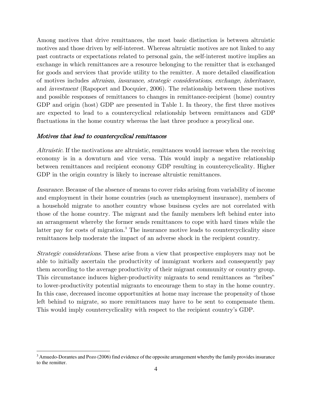Among motives that drive remittances, the most basic distinction is between altruistic motives and those driven by self-interest. Whereas altruistic motives are not linked to any past contracts or expectations related to personal gain, the self-interest motive implies an exchange in which remittances are a resource belonging to the remitter that is exchanged for goods and services that provide utility to the remitter. A more detailed classification of motives includes altruism, insurance, strategic considerations, exchange, inheritance, and investment (Rapoport and Docquier, 2006). The relationship between these motives and possible responses of remittances to changes in remittance-recipient (home) country GDP and origin (host) GDP are presented in Table 1. In theory, the first three motives are expected to lead to a countercyclical relationship between remittances and GDP fluctuations in the home country whereas the last three produce a procylical one.

#### Motives that lead to countercyclical remittances

Altruistic. If the motivations are altruistic, remittances would increase when the receiving economy is in a downturn and vice versa. This would imply a negative relationship between remittances and recipient economy GDP resulting in countercyclicality. Higher GDP in the origin country is likely to increase altruistic remittances.

Insurance. Because of the absence of means to cover risks arising from variability of income and employment in their home countries (such as unemployment insurance), members of a household migrate to another country whose business cycles are not correlated with those of the home country. The migrant and the family members left behind enter into an arrangement whereby the former sends remittances to cope with hard times while the latter pay for costs of migration.<sup>3</sup> The insurance motive leads to countercyclicality since remittances help moderate the impact of an adverse shock in the recipient country.

Strategic considerations. These arise from a view that prospective employers may not be able to initially ascertain the productivity of immigrant workers and consequently pay them according to the average productivity of their migrant community or country group. This circumstance induces higher-productivity migrants to send remittances as "bribes" to lower-productivity potential migrants to encourage them to stay in the home country. In this case, decreased income opportunities at home may increase the propensity of those left behind to migrate, so more remittances may have to be sent to compensate them. This would imply countercyclicality with respect to the recipient country's GDP.

<sup>&</sup>lt;sup>3</sup> Amuedo-Dorantes and Pozo (2006) find evidence of the opposite arrangement whereby the family provides insurance to the remitter.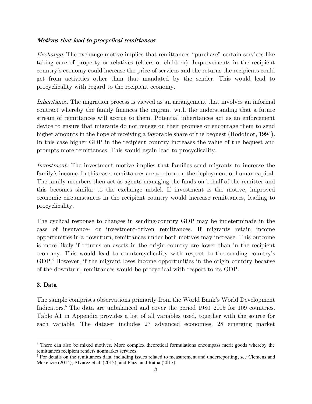# Motives that lead to procyclical remittances

Exchange. The exchange motive implies that remittances "purchase" certain services like taking care of property or relatives (elders or children). Improvements in the recipient country's economy could increase the price of services and the returns the recipients could get from activities other than that mandated by the sender. This would lead to procyclicality with regard to the recipient economy.

Inheritance. The migration process is viewed as an arrangement that involves an informal contract whereby the family finances the migrant with the understanding that a future stream of remittances will accrue to them. Potential inheritances act as an enforcement device to ensure that migrants do not renege on their promise or encourage them to send higher amounts in the hope of receiving a favorable share of the bequest (Hoddinot, 1994). In this case higher GDP in the recipient country increases the value of the bequest and prompts more remittances. This would again lead to procyclicality.

Investment. The investment motive implies that families send migrants to increase the family's income. In this case, remittances are a return on the deployment of human capital. The family members then act as agents managing the funds on behalf of the remitter and this becomes similar to the exchange model. If investment is the motive, improved economic circumstances in the recipient country would increase remittances, leading to procyclicality.

The cyclical response to changes in sending-country GDP may be indeterminate in the case of insurance- or investment-driven remittances. If migrants retain income opportunities in a downturn, remittances under both motives may increase. This outcome is more likely if returns on assets in the origin country are lower than in the recipient economy. This would lead to countercyclicality with respect to the sending country's GDP.<sup>4</sup> However, if the migrant loses income opportunities in the origin country because of the downturn, remittances would be procyclical with respect to its GDP.

## 3. Data

The sample comprises observations primarily from the World Bank's World Development Indicators.<sup>5</sup> The data are unbalanced and cover the period 1980–2015 for 109 countries. Table A1 in Appendix provides a list of all variables used, together with the source for each variable. The dataset includes 27 advanced economies, 28 emerging market

<sup>&</sup>lt;sup>4</sup> There can also be mixed motives. More complex theoretical formulations encompass merit goods whereby the remittances recipient renders nonmarket services.

<sup>&</sup>lt;sup>5</sup> For details on the remittances data, including issues related to measurement and underreporting, see Clemens and Mckenzie (2014), Alvarez et al. (2015), and Plaza and Ratha (2017).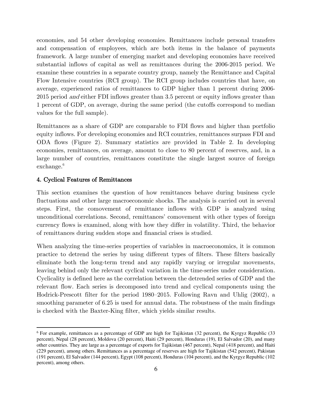economies, and 54 other developing economies. Remittances include personal transfers and compensation of employees, which are both items in the balance of payments framework. A large number of emerging market and developing economies have received substantial inflows of capital as well as remittances during the 2006-2015 period. We examine these countries in a separate country group, namely the Remittance and Capital Flow Intensive countries (RCI group). The RCI group includes countries that have, on average, experienced ratios of remittances to GDP higher than 1 percent during 2006- 2015 period *and* either FDI inflows greater than 3.5 percent or equity inflows greater than 1 percent of GDP, on average, during the same period (the cutoffs correspond to median values for the full sample).

Remittances as a share of GDP are comparable to FDI flows and higher than portfolio equity inflows. For developing economies and RCI countries, remittances surpass FDI and ODA flows (Figure 2). Summary statistics are provided in Table 2. In developing economies, remittances, on average, amount to close to 80 percent of reserves, and, in a large number of countries, remittances constitute the single largest source of foreign exchange.<sup>6</sup>

#### 4. Cyclical Features of Remittances

This section examines the question of how remittances behave during business cycle fluctuations and other large macroeconomic shocks. The analysis is carried out in several steps. First, the comovement of remittance inflows with GDP is analyzed using unconditional correlations. Second, remittances' comovement with other types of foreign currency flows is examined, along with how they differ in volatility. Third, the behavior of remittances during sudden stops and financial crises is studied.

When analyzing the time-series properties of variables in macroeconomics, it is common practice to detrend the series by using different types of filters. These filters basically eliminate both the long-term trend and any rapidly varying or irregular movements, leaving behind only the relevant cyclical variation in the time-series under consideration. Cyclicality is defined here as the correlation between the detrended series of GDP and the relevant flow. Each series is decomposed into trend and cyclical components using the Hodrick-Prescott filter for the period 1980–2015. Following Ravn and Uhlig (2002), a smoothing parameter of 6.25 is used for annual data. The robustness of the main findings is checked with the Baxter-King filter, which yields similar results.

<sup>6</sup> For example, remittances as a percentage of GDP are high for Tajikistan (32 percent), the Kyrgyz Republic (33 percent), Nepal (28 percent), Moldova (20 percent), Haiti (29 percent), Honduras (19), El Salvador (20), and many other countries. They are large as a percentage of exports for Tajikistan (467 percent), Nepal (418 percent), and Haiti (229 percent), among others. Remittances as a percentage of reserves are high for Tajikistan (542 percent), Pakistan (191 percent), El Salvador (144 percent), Egypt (108 percent), Honduras (104 percent), and the Kyrgyz Republic (102 percent), among others.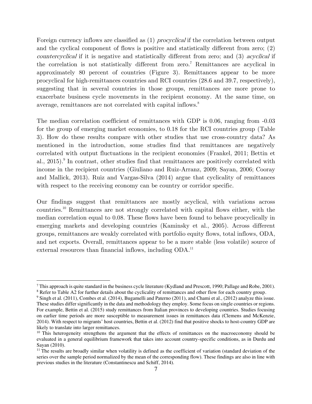Foreign currency inflows are classified as (1) *procyclical* if the correlation between output and the cyclical component of flows is positive and statistically different from zero; (2) countercyclical if it is negative and statistically different from zero; and (3) acyclical if the correlation is not statistically different from zero.<sup>7</sup> Remittances are acyclical in approximately 80 percent of countries (Figure 3). Remittances appear to be more procyclical for high-remittances countries and RCI countries (28.6 and 39.7, respectively), suggesting that in several countries in those groups, remittances are more prone to exacerbate business cycle movements in the recipient economy. At the same time, on average, remittances are not correlated with capital inflows.<sup>8</sup>

The median correlation coefficient of remittances with GDP is 0.06, ranging from  $-0.03$ for the group of emerging market economies, to 0.18 for the RCI countries group (Table 3). How do these results compare with other studies that use cross-country data? As mentioned in the introduction, some studies find that remittances are negatively correlated with output fluctuations in the recipient economies (Frankel, 2011; Bettin et al., 2015).<sup>9</sup> In contrast, other studies find that remittances are positively correlated with income in the recipient countries (Giuliano and Ruiz-Arranz, 2009; Sayan, 2006; Cooray and Mallick, 2013). Ruiz and Vargas-Silva (2014) argue that cyclicality of remittances with respect to the receiving economy can be country or corridor specific.

Our findings suggest that remittances are mostly acyclical, with variations across countries.<sup>10</sup> Remittances are not strongly correlated with capital flows either, with the median correlation equal to 0.08. These flows have been found to behave procyclically in emerging markets and developing countries (Kaminsky et al., 2005). Across different groups, remittances are weakly correlated with portfolio equity flows, total inflows, ODA, and net exports. Overall, remittances appear to be a more stable (less volatile) source of external resources than financial inflows, including ODA.<sup>11</sup>

 $^7$  This approach is quite standard in the business cycle literature (Kydland and Prescott, 1990; Pallage and Robe, 2001).

<sup>&</sup>lt;sup>8</sup> Refer to Table A2 for further details about the cyclicality of remittances and other flow for each country group.

<sup>&</sup>lt;sup>9</sup> Singh et al. (2011), Combes et al. (2014), Bugamelli and Paterno (2011), and Chami et al., (2012) analyze this issue. These studies differ significantly in the data and methodology they employ. Some focus on single countries or regions. For example, Bettin et al. (2015) study remittances from Italian provinces to developing countries. Studies focusing on earlier time periods are more susceptible to measurement issues in remittances data (Clemens and McKenzie, 2014). With respect to migrants' host countries, Bettin et al. (2012) find that positive shocks to host-country GDP are likely to translate into larger remittances.

<sup>&</sup>lt;sup>10</sup> This heterogeneity strengthens the argument that the effects of remittances on the macroeconomy should be evaluated in a general equilibrium framework that takes into account country-specific conditions, as in Durdu and Sayan (2010).

 $11$  The results are broadly similar when volatility is defined as the coefficient of variation (standard deviation of the series over the sample period normalized by the mean of the corresponding flow). These findings are also in line with previous studies in the literature (Constantinescu and Schiff, 2014).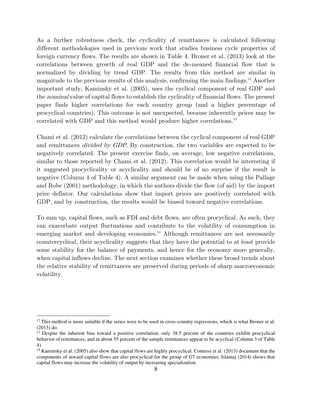As a further robustness check, the cyclicality of remittances is calculated following different methodologies used in previous work that studies business cycle properties of foreign currency flows. The results are shown in Table 4. Broner et al. (2013) look at the correlations between growth of real GDP and the de-meaned financial flow that is normalized by dividing by trend GDP. The results from this method are similar in magnitude to the previous results of this analysis, confirming the main findings.<sup>12</sup> Another important study, Kaminsky et al. (2005), uses the cyclical component of real GDP and the nominal value of capital flows to establish the cyclicality of financial flows. The present paper finds higher correlations for each country group (and a higher percentage of procyclical countries). This outcome is not unexpected, because inherently prices may be correlated with GDP and this method would produce higher correlations.<sup>13</sup>

Chami et al. (2012) calculate the correlations between the cyclical component of real GDP and remittances divided by GDP. By construction, the two variables are expected to be negatively correlated. The present exercise finds, on average, low negative correlations, similar to those reported by Chami et al. (2012). This correlation would be interesting if it suggested procyclicality or acyclicality and should be of no surprise if the result is negative (Column 4 of Table 4). A similar argument can be made when using the Pallage and Robe (2001) methodology, in which the authors divide the flow (of aid) by the import price deflator. Our calculations show that import prices are positively correlated with GDP, and by construction, the results would be biased toward negative correlations.

To sum up, capital flows, such as FDI and debt flows, are often procyclical. As such, they can exacerbate output fluctuations and contribute to the volatility of consumption in emerging market and developing economies.<sup>14</sup> Although remittances are not necessarily countercyclical, their acyclicality suggests that they have the potential to at least provide some stability for the balance of payments, and hence for the economy more generally, when capital inflows decline. The next section examines whether these broad trends about the relative stability of remittances are preserved during periods of sharp macroeconomic volatility.

 $12$  This method is more suitable if the series were to be used in cross-country regressions, which is what Broner et al. (2013) do.

<sup>&</sup>lt;sup>13</sup> Despite the inherent bias toward a positive correlation, only 38.5 percent of the countries exhibit procyclical behavior of remittances, and in about 55 percent of the sample remittances appear to be acyclical (Column 3 of Table 4).

 $14$  Kaminsky et al. (2005) also show that capital flows are highly procyclical. Contessi et al. (2013) document that the components of inward capital flows are also procyclical for the group of G7 economies. Islamaj (2014) shows that capital flows may increase the volatility of output by increasing specialization.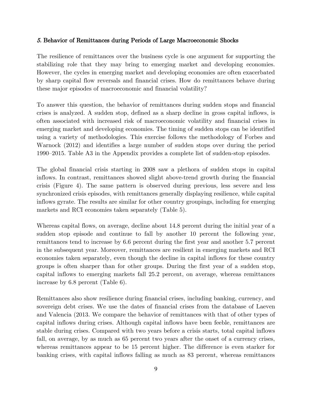## 5. Behavior of Remittances during Periods of Large Macroeconomic Shocks

The resilience of remittances over the business cycle is one argument for supporting the stabilizing role that they may bring to emerging market and developing economies. However, the cycles in emerging market and developing economies are often exacerbated by sharp capital flow reversals and financial crises. How do remittances behave during these major episodes of macroeconomic and financial volatility?

To answer this question, the behavior of remittances during sudden stops and financial crises is analyzed. A sudden stop, defined as a sharp decline in gross capital inflows, is often associated with increased risk of macroeconomic volatility and financial crises in emerging market and developing economies. The timing of sudden stops can be identified using a variety of methodologies. This exercise follows the methodology of Forbes and Warnock (2012) and identifies a large number of sudden stops over during the period 1990–2015. Table A3 in the Appendix provides a complete list of sudden-stop episodes.

The global financial crisis starting in 2008 saw a plethora of sudden stops in capital inflows. In contrast, remittances showed slight above-trend growth during the financial crisis (Figure 4). The same pattern is observed during previous, less severe and less synchronized crisis episodes, with remittances generally displaying resilience, while capital inflows gyrate. The results are similar for other country groupings, including for emerging markets and RCI economies taken separately (Table 5).

Whereas capital flows, on average, decline about 14.8 percent during the initial year of a sudden stop episode and continue to fall by another 10 percent the following year, remittances tend to increase by 6.6 percent during the first year and another 5.7 percent in the subsequent year. Moreover, remittances are resilient in emerging markets and RCI economies taken separately, even though the decline in capital inflows for these country groups is often sharper than for other groups. During the first year of a sudden stop, capital inflows to emerging markets fall 25.2 percent, on average, whereas remittances increase by 6.8 percent (Table 6).

Remittances also show resilience during financial crises, including banking, currency, and sovereign debt crises. We use the dates of financial crises from the database of Laeven and Valencia (2013. We compare the behavior of remittances with that of other types of capital inflows during crises. Although capital inflows have been feeble, remittances are stable during crises. Compared with two years before a crisis starts, total capital inflows fall, on average, by as much as 65 percent two years after the onset of a currency crises, whereas remittances appear to be 15 percent higher. The difference is even starker for banking crises, with capital inflows falling as much as 83 percent, whereas remittances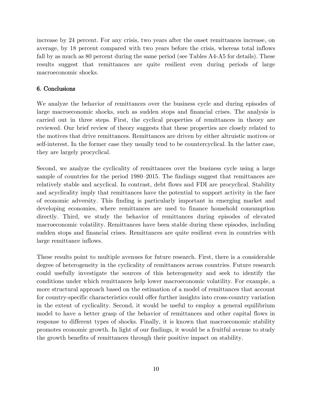increase by 24 percent. For any crisis, two years after the onset remittances increase, on average, by 18 percent compared with two years before the crisis, whereas total inflows fall by as much as 80 percent during the same period (see Tables A4-A5 for details). These results suggest that remittances are quite resilient even during periods of large macroeconomic shocks.

### 6. Conclusions

We analyze the behavior of remittances over the business cycle and during episodes of large macroeconomic shocks, such as sudden stops and financial crises. The analysis is carried out in three steps. First, the cyclical properties of remittances in theory are reviewed. Our brief review of theory suggests that these properties are closely related to the motives that drive remittances. Remittances are driven by either altruistic motives or self-interest. In the former case they usually tend to be countercyclical. In the latter case, they are largely procyclical.

Second, we analyze the cyclicality of remittances over the business cycle using a large sample of countries for the period 1980–2015. The findings suggest that remittances are relatively stable and acyclical. In contrast, debt flows and FDI are procyclical. Stability and acyclicality imply that remittances have the potential to support activity in the face of economic adversity. This finding is particularly important in emerging market and developing economies, where remittances are used to finance household consumption directly. Third, we study the behavior of remittances during episodes of elevated macroeconomic volatility. Remittances have been stable during these episodes, including sudden stops and financial crises. Remittances are quite resilient even in countries with large remittance inflows.

These results point to multiple avenues for future research. First, there is a considerable degree of heterogeneity in the cyclicality of remittances across countries. Future research could usefully investigate the sources of this heterogeneity and seek to identify the conditions under which remittances help lower macroeconomic volatility. For example, a more structural approach based on the estimation of a model of remittances that account for country-specific characteristics could offer further insights into cross-country variation in the extent of cyclicality. Second, it would be useful to employ a general equilibrium model to have a better grasp of the behavior of remittances and other capital flows in response to different types of shocks. Finally, it is known that macroeconomic stability promotes economic growth. In light of our findings, it would be a fruitful avenue to study the growth benefits of remittances through their positive impact on stability.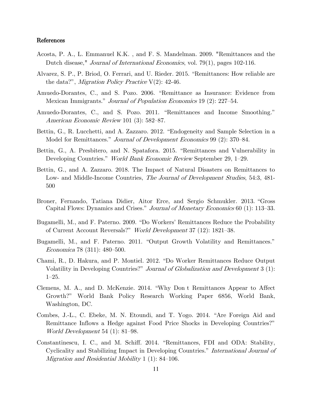#### References

- Acosta, P. A., L. Emmanuel K.K. , and F. S. Mandelman. 2009. "Remittances and the Dutch disease," *Journal of International Economics*, vol. 79(1), pages 102-116.
- Alvarez, S. P., P. Briod, O. Ferrari, and U. Rieder. 2015. "Remittances: How reliable are the data?", *Migration Policy Practice*  $V(2)$ : 42-46.
- Amuedo-Dorantes, C., and S. Pozo. 2006. "Remittance as Insurance: Evidence from Mexican Immigrants." *Journal of Population Economics* 19 (2): 227–54.
- Amuedo-Dorantes, C., and S. Pozo. 2011. "Remittances and Income Smoothing." American Economic Review 101 (3): 582–87.
- Bettin, G., R. Lucchetti, and A. Zazzaro. 2012. "Endogeneity and Sample Selection in a Model for Remittances." *Journal of Development Economics* 99 (2): 370–84.
- Bettin, G., A. Presbitero, and N. Spatafora. 2015. "Remittances and Vulnerability in Developing Countries." World Bank Economic Review September 29, 1–29.
- Bettin, G., and A. Zazzaro. 2018. The Impact of Natural Disasters on Remittances to Low- and Middle-Income Countries, *The Journal of Development Studies*, 54:3, 481-500
- Broner, Fernando, Tatiana Didier, Aitor Erce, and Sergio Schmukler. 2013. ["Gross](http://econpapers.repec.org/article/eeemoneco/v_3a60_3ay_3a2013_3ai_3a1_3ap_3a113-133.htm)  [Capital Flows: Dynamics and Crises.](http://econpapers.repec.org/article/eeemoneco/v_3a60_3ay_3a2013_3ai_3a1_3ap_3a113-133.htm)" Journal of Monetary Economics 60 (1): 113–33.
- Bugamelli, M., and F. Paterno. 2009. "Do Workers' Remittances Reduce the Probability of Current Account Reversals?" World Development 37 (12): 1821–38.
- Bugamelli, M., and F. Paterno. 2011. "Output Growth Volatility and Remittances." Economica 78 (311): 480–500.
- Chami, R., D. Hakura, and P. Montiel. 2012. "Do Worker Remittances Reduce Output Volatility in Developing Countries?" Journal of Globalization and Development 3 (1): 1–25.
- Clemens, M. A., and D. McKenzie. 2014. "Why Don't Remittances Appear to Affect Growth?" World Bank Policy Research Working Paper 6856, World Bank, Washington, DC.
- Combes, J.-L., C. Ebeke, M. N. Etoundi, and T. Yogo. 2014. "Are Foreign Aid and Remittance Inflows a Hedge against Food Price Shocks in Developing Countries?" World Development 54 (1): 81–98.
- Constantinescu, I. C., and M. Schiff. 2014. "Remittances, FDI and ODA: Stability, Cyclicality and Stabilizing Impact in Developing Countries." International Journal of Migration and Residential Mobility 1 (1): 84–106.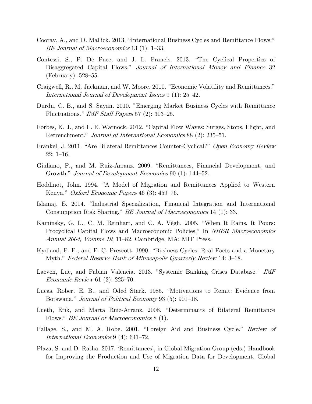- Cooray, A., and D. Mallick. 2013. "International Business Cycles and Remittance Flows." BE Journal of Macroeconomics 13 (1): 1–33.
- Contessi, S., P. De Pace, and J. L. Francis. 2013. "The Cyclical Properties of Disaggregated Capital Flows." Journal of International Money and Finance 32 (February): 528–55.
- Craigwell, R., M. Jackman, and W. Moore. 2010. "Economic Volatility and Remittances." International Journal of Development Issues 9 (1): 25–42.
- Durdu, C. B., and S. Sayan. 2010. ["Emerging Market Business Cycles with Remittance](http://ideas.repec.org/a/pal/imfstp/v57y2010i2p303-325.html)  [Fluctuations.](http://ideas.repec.org/a/pal/imfstp/v57y2010i2p303-325.html)" [IMF Staff Papers](http://ideas.repec.org/s/pal/imfstp.html) 57 (2): 303–25.
- Forbes, K. J., and F. E. Warnock. 2012. "Capital Flow Waves: Surges, Stops, Flight, and Retrenchment." *Journal of International Economics* 88 (2): 235–51.
- Frankel, J. 2011. "Are Bilateral Remittances Counter-Cyclical?" Open Economy Review 22: 1–16.
- Giuliano, P., and M. Ruiz-Arranz. 2009. "Remittances, Financial Development, and Growth." *Journal of Development Economics* 90 (1): 144–52.
- Hoddinot, John. 1994. "A Model of Migration and Remittances Applied to Western Kenya." Oxford Economic Papers 46 (3): 459–76.
- Islamaj, E. 2014. "Industrial Specialization, Financial Integration and International Consumption Risk Sharing." *BE Journal of Macroeconomics* 14 (1): 33.
- Kaminsky, G. L., C. M. Reinhart, and C. A. Végh. 2005. "When It Rains, It Pours: Procyclical Capital Flows and Macroeconomic Policies." In *NBER Macroeconomics* Annual 2004, Volume 19, 11–82. Cambridge, MA: MIT Press.
- Kydland, F. E., and E. C. Prescott. 1990. "Business Cycles: Real Facts and a Monetary Myth." Federal Reserve Bank of Minneapolis Quarterly Review 14: 3–18.
- Laeven, Luc, and Fabian Valencia. 2013. ["Systemic Banking Crises Database.](https://ideas.repec.org/a/pal/imfecr/v61y2013i2p225-270.html)" IMF [Economic Review](https://ideas.repec.org/s/pal/imfecr.html) 61 (2): 225–70.
- Lucas, Robert E. B., and Oded Stark. 1985. "Motivations to Remit: Evidence from Botswana." *Journal of Political Economy* 93 (5): 901–18.
- Lueth, Erik, and Marta Ruiz-Arranz. 2008. "Determinants of Bilateral Remittance Flows." *BE Journal of Macroeconomics* 8 (1).
- Pallage, S., and M. A. Robe. 2001. "Foreign Aid and Business Cycle." Review of International Economics 9 (4): 641–72.
- Plaza, S. and D. Ratha. 2017. 'Remittances', in Global Migration Group (eds.) Handbook for Improving the Production and Use of Migration Data for Development. Global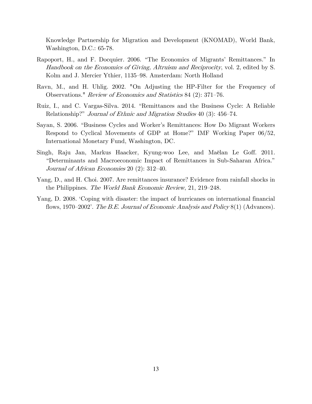Knowledge Partnership for Migration and Development (KNOMAD), World Bank, Washington, D.C.: 65-78.

- Rapoport, H., and F. Docquier. 2006. "The Economics of Migrants' Remittances." In Handbook on the Economics of Giving, Altruism and Reciprocity, vol. 2, edited by S. Kolm and J. Mercier Ythier, 1135–98. Amsterdam: North Holland
- Ravn, M., and H. Uhlig. 2002. "On Adjusting the HP-Filter for the Frequency of Observations." Review of Economics and Statistics 84 (2): 371–76.
- Ruiz, I., and C. Vargas-Silva. 2014. "Remittances and the Business Cycle: A Reliable Relationship?" *Journal of Ethnic and Migration Studies* 40 (3): 456–74.
- Sayan, S. 2006. "Business Cycles and Worker's Remittances: How Do Migrant Workers Respond to Cyclical Movements of GDP at Home?" IMF Working Paper 06/52, International Monetary Fund, Washington, DC.
- Singh, Raju Jan, Markus Haacker, Kyung-woo Lee, and Maëlan Le Goff. 2011. "Determinants and Macroeconomic Impact of Remittances in Sub-Saharan Africa." Journal of African Economies 20 (2): 312–40.
- Yang, D., and H. Choi. 2007. Are remittances insurance? Evidence from rainfall shocks in the Philippines. The World Bank Economic Review, 21, 219–248.
- Yang, D. 2008. 'Coping with disaster: the impact of hurricanes on international financial flows, 1970–2002'. The B.E. Journal of Economic Analysis and Policy  $8(1)$  (Advances).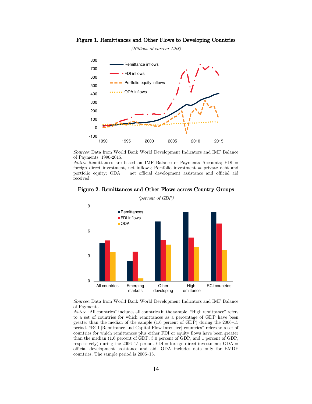

Figure 1. Remittances and Other Flows to Developing Countries

Sources: Data from World Bank World Development Indicators and IMF Balance of Payments. 1990-2015.

 $Notes: Remittances are based on IMF Balance of Payments. Accounts; FDI =$ foreign direct investment, net inflows; Portfolio investment = private debt and portfolio equity; ODA = net official development assistance and official aid received.





Sources: Data from World Bank World Development Indicators and IMF Balance of Payments.

Notes: "All countries" includes all countries in the sample. "High remittance" refers to a set of countries for which remittances as a percentage of GDP have been greater than the median of the sample (1.6 percent of GDP) during the 2006–15 period. "RCI [Remittance and Capital Flow Intensive] countries" refers to a set of countries for which remittances plus either FDI or equity flows have been greater than the median (1.6 percent of GDP, 3.0 percent of GDP, and 1 percent of GDP, respectively) during the 2006–15 period. FDI = foreign direct investment;  $ODA =$ official development assistance and aid. ODA includes data only for EMDE countries. The sample period is 2006–15.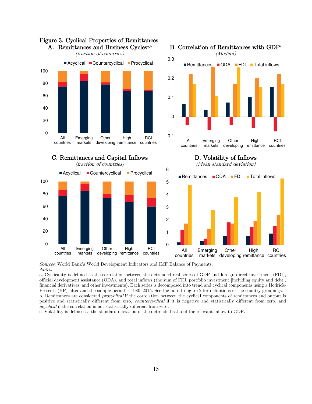

# Figure 3. Cyclical Properties of Remittances

Sources: World Bank's World Development Indicators and IMF Balance of Payments. Notes:

a. Cyclicality is defined as the correlation between the detrended real series of GDP and foreign direct investment (FDI), official development assistance (ODA), and total inflows (the sum of FDI, portfolio investment [including equity and debt], financial derivatives, and other investments). Each series is decomposed into trend and cyclical components using a Hodrick-Prescott (HP) filter and the sample period is 1980–2015. See the note to figure 2 for definitions of the country groupings. b. Remittances are considered procyclical if the correlation between the cyclical components of remittances and output is positive and statistically different from zero, countercyclical if it is negative and statistically different from zero, and acyclical if the correlation is not statistically different from zero.

c. Volatility is defined as the standard deviation of the detrended ratio of the relevant inflow to GDP.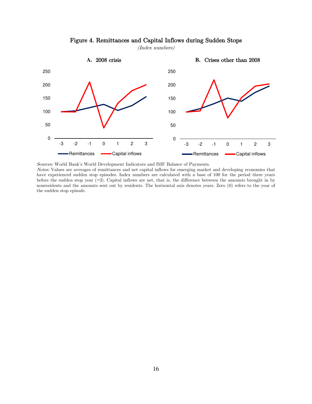

# Figure 4. Remittances and Capital Inflows during Sudden Stops

(Index numbers)

Sources: World Bank's World Development Indicators and IMF Balance of Payments. Notes: Values are averages of remittances and net capital inflows for emerging market and developing economies that have experienced sudden stop episodes. Index numbers are calculated with a base of 100 for the period three years before the sudden stop year (−3). Capital inflows are net, that is, the difference between the amounts brought in by nonresidents and the amounts sent out by residents. The horizontal axis denotes years. Zero (0) refers to the year of the sudden stop episode.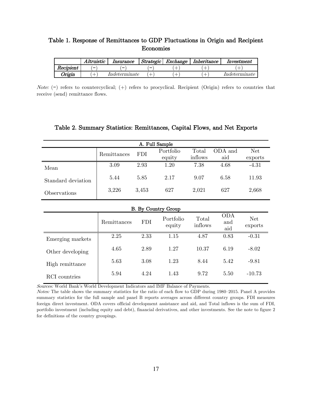# Table 1. Response of Remittances to GDP Fluctuations in Origin and Recipient Economies

|           | Atruistic | Insurance     | Strategic                | Exchange | Inheritance | Investment    |
|-----------|-----------|---------------|--------------------------|----------|-------------|---------------|
| Recipient |           |               | $\overline{\phantom{a}}$ |          |             |               |
| )rigin    |           | Indeterminate |                          |          |             | Indeterminate |

Note: (−) refers to countercyclical; (+) refers to procyclical. Recipient (Origin) refers to countries that receive (send) remittance flows.

#### Table 2. Summary Statistics: Remittances, Capital Flows, and Net Exports

|                    | A. Full Sample |            |                     |                  |                |                |  |  |  |  |  |  |
|--------------------|----------------|------------|---------------------|------------------|----------------|----------------|--|--|--|--|--|--|
|                    | Remittances    | <b>FDI</b> | Portfolio<br>equity | Total<br>inflows | ODA and<br>aid | Net<br>exports |  |  |  |  |  |  |
| Mean               | 3.09           | 2.93       | 1.20                | 7.38             | 4.68           | $-4.31$        |  |  |  |  |  |  |
| Standard deviation | 5.44           | 5.85       | 2.17                | 9.07             | 6.58           | 11.93          |  |  |  |  |  |  |
| Observations       | 3,226          | 3,453      | 627                 | 2,021            | 627            | 2,668          |  |  |  |  |  |  |

| B. By Country Group |             |            |                     |                  |                   |                |  |  |  |  |  |
|---------------------|-------------|------------|---------------------|------------------|-------------------|----------------|--|--|--|--|--|
|                     | Remittances | <b>FDI</b> | Portfolio<br>equity | Total<br>inflows | ODA<br>and<br>aid | Net<br>exports |  |  |  |  |  |
| Emerging markets    | 2.25        | 2.33       | 1.15                | 4.87             | 0.83              | $-0.31$        |  |  |  |  |  |
| Other developing    | 4.65        | 2.89       | 1.27                | 10.37            | 6.19              | $-8.02$        |  |  |  |  |  |
| High remittance     | 5.63        | 3.08       | 1.23                | 8.44             | 5.42              | $-9.81$        |  |  |  |  |  |
| RCI countries       | 5.94        | 4.24       | 1.43                | 9.72             | 5.50              | $-10.73$       |  |  |  |  |  |

Sources: World Bank's World Development Indicators and IMF Balance of Payments.

Notes: The table shows the summary statistics for the ratio of each flow to GDP during 1980–2015. Panel A provides summary statistics for the full sample and panel B reports averages across different country groups. FDI measures foreign direct investment. ODA covers official development assistance and aid, and Total inflows is the sum of FDI, portfolio investment (including equity and debt), financial derivatives, and other investments. See the note to figure 2 for definitions of the country groupings.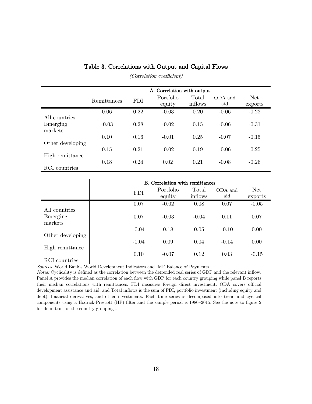## Table 3. Correlations with Output and Capital Flows

|                      |             | A. Correlation with output |           |         |         |            |  |  |  |  |  |
|----------------------|-------------|----------------------------|-----------|---------|---------|------------|--|--|--|--|--|
|                      | Remittances | <b>FDI</b>                 | Portfolio | Total   | ODA and | <b>Net</b> |  |  |  |  |  |
|                      |             |                            | equity    | inflows | aid     | exports    |  |  |  |  |  |
|                      | 0.06        | 0.22                       | $-0.03$   | 0.20    | $-0.06$ | $-0.22$    |  |  |  |  |  |
| All countries        |             |                            |           |         |         |            |  |  |  |  |  |
| Emerging             | $-0.03$     | 0.28                       | $-0.02$   | 0.15    | $-0.06$ | $-0.31$    |  |  |  |  |  |
| markets              |             |                            |           |         |         |            |  |  |  |  |  |
|                      | 0.10        | 0.16                       | $-0.01$   | 0.25    | $-0.07$ | $-0.15$    |  |  |  |  |  |
| Other developing     |             |                            |           |         |         |            |  |  |  |  |  |
|                      | 0.15        | 0.21                       | $-0.02$   | 0.19    | $-0.06$ | $-0.25$    |  |  |  |  |  |
| High remittance      |             |                            |           |         |         |            |  |  |  |  |  |
|                      | 0.18        | 0.24                       | 0.02      | 0.21    | $-0.08$ | $-0.26$    |  |  |  |  |  |
| <b>RCI</b> countries |             |                            |           |         |         |            |  |  |  |  |  |

(Correlation coefficient)

|                      | B. Correlation with remittances |                     |                  |                |                 |  |  |  |
|----------------------|---------------------------------|---------------------|------------------|----------------|-----------------|--|--|--|
|                      | <b>FDI</b>                      | Portfolio<br>equity | Total<br>inflows | ODA and<br>aid | Net.<br>exports |  |  |  |
| All countries        | 0.07                            | $-0.02$             | 0.08             | 0.07           | $-0.05$         |  |  |  |
| Emerging<br>markets  | 0.07                            | $-0.03$             | $-0.04$          | 0.11           | 0.07            |  |  |  |
| Other developing     | $-0.04$                         | 0.18                | 0.05             | $-0.10$        | 0.00            |  |  |  |
|                      | $-0.04$                         | 0.09                | 0.04             | $-0.14$        | 0.00            |  |  |  |
| High remittance      | 0.10                            | $-0.07$             | 0.12             | 0.03           | $-0.15$         |  |  |  |
| <b>RCI</b> countries |                                 |                     |                  |                |                 |  |  |  |

Sources: World Bank's World Development Indicators and IMF Balance of Payments.

Notes: Cyclicality is defined as the correlation between the detrended real series of GDP and the relevant inflow. Panel A provides the median correlation of each flow with GDP for each country grouping while panel B reports their median correlations with remittances. FDI measures foreign direct investment. ODA covers official development assistance and aid, and Total inflows is the sum of FDI, portfolio investment (including equity and debt), financial derivatives, and other investments. Each time series is decomposed into trend and cyclical components using a Hodrick-Prescott (HP) filter and the sample period is 1980–2015. See the note to figure 2 for definitions of the country groupings.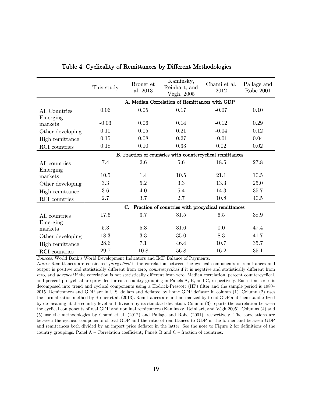|                  | Broner et<br>This study<br>al. 2013                       |         | Kaminsky,<br>Reinhart, and<br>Végh. 2005              | Chami et al.<br>2012 | Pallage and<br>Robe $2001$ |  |  |  |  |
|------------------|-----------------------------------------------------------|---------|-------------------------------------------------------|----------------------|----------------------------|--|--|--|--|
|                  |                                                           |         | A. Median Correlation of Remittances with GDP         |                      |                            |  |  |  |  |
| All Countries    | 0.06                                                      | 0.05    | 0.17                                                  | $-0.07$              | 0.10                       |  |  |  |  |
| Emerging         |                                                           |         |                                                       |                      |                            |  |  |  |  |
| markets          | $-0.03$                                                   | 0.06    | 0.14                                                  | $-0.12$              | 0.29                       |  |  |  |  |
| Other developing | 0.10                                                      | 0.05    | 0.21                                                  | $-0.04$              | 0.12                       |  |  |  |  |
| High remittance  | 0.15                                                      | 0.08    | 0.27                                                  | $-0.01$              | 0.04                       |  |  |  |  |
| RCI countries    | 0.18                                                      | 0.10    | 0.33                                                  | 0.02                 | 0.02                       |  |  |  |  |
|                  | B. Fraction of countries with countercyclical remittances |         |                                                       |                      |                            |  |  |  |  |
| All countries    | 7.4                                                       | 2.6     | 5.6                                                   | 18.5                 | 27.8                       |  |  |  |  |
| Emerging         |                                                           |         |                                                       |                      |                            |  |  |  |  |
| markets          | 10.5                                                      | 1.4     | 10.5                                                  | 21.1                 | 10.5                       |  |  |  |  |
| Other developing | 3.3                                                       | $5.2\,$ | 3.3                                                   | 13.3                 | 25.0                       |  |  |  |  |
| High remittance  | 3.6                                                       | 4.0     | 5.4                                                   | 14.3                 | 35.7                       |  |  |  |  |
| RCI countries    | 2.7                                                       | 3.7     | 2.7                                                   | 10.8                 | $40.5\,$                   |  |  |  |  |
|                  |                                                           |         | C. Fraction of countries with procyclical remittances |                      |                            |  |  |  |  |
| All countries    | 17.6                                                      | 3.7     | 31.5                                                  | 6.5                  | 38.9                       |  |  |  |  |
| Emerging         |                                                           |         |                                                       |                      |                            |  |  |  |  |
| markets          | $5.3\,$                                                   | $5.3\,$ | 31.6                                                  | 0.0                  | 47.4                       |  |  |  |  |
| Other developing | 18.3                                                      | 3.3     | 35.0                                                  | 8.3                  | 41.7                       |  |  |  |  |
| High remittance  | 28.6                                                      | 7.1     | 46.4                                                  | 10.7                 | 35.7                       |  |  |  |  |
| RCI countries    | 29.7                                                      | 10.8    | 56.8                                                  | 16.2                 | 35.1                       |  |  |  |  |

Table 4. Cyclicality of Remittances by Different Methodologies

Sources: World Bank's World Development Indicators and IMF Balance of Payments.

Notes: Remittances are considered procyclical if the correlation between the cyclical components of remittances and output is positive and statistically different from zero, countercyclical if it is negative and statistically different from zero, and acyclical if the correlation is not statistically different from zero. Median correlation, percent countercyclical, and percent procyclical are provided for each country grouping in Panels A, B, and C, respectively. Each time series is decomposed into trend and cyclical components using a Hodrick-Prescott (HP) filter and the sample period is 1980– 2015. Remittances and GDP are in U.S. dollars and deflated by home GDP deflator in column (1). Column (2) uses the normalization method by Broner et al. (2013). Remittances are first normalized by trend GDP and then standardized by de-meaning at the country level and division by its standard deviation. Column (3) reports the correlation between the cyclical components of real GDP and nominal remittances (Kaminsky, Reinhart, and Végh 2005). Columns (4) and (5) use the methodologies by Chami et al. (2012) and Pallage and Robe (2001), respectively. The correlations are between the cyclical components of real GDP and the ratio of remittances to GDP in the former and between GDP and remittances both divided by an import price deflator in the latter. See the note to Figure 2 for definitions of the country groupings. Panel  $A -$  Correlation coefficient; Panels B and  $C -$  fraction of countries.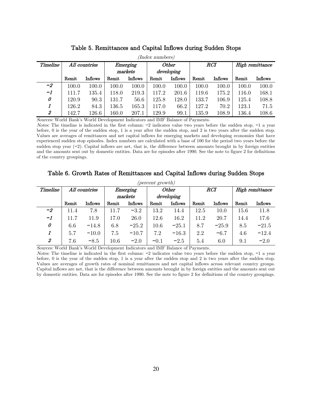|                  | (Index numbers) |         |           |           |            |                     |       |         |                 |           |  |  |  |  |
|------------------|-----------------|---------|-----------|-----------|------------|---------------------|-------|---------|-----------------|-----------|--|--|--|--|
| Timeline         | All countries   |         | Emerging  |           |            | <i><b>Other</b></i> |       | RCI     | High remittance |           |  |  |  |  |
|                  |                 |         | markets   |           | developing |                     |       |         |                 |           |  |  |  |  |
|                  | Remit           | Inflows | Remit     | Inflows   | Remit      | Inflows             | Remit | Inflows | Remit           | Inflows   |  |  |  |  |
| $-2$             | 100.0           | 100.0   | 100.0     | $100.0\,$ | 100.0      | 100.0               | 100.0 | 100.0   | 100.0           | 100.0     |  |  |  |  |
| $-1$             | 111.7           | 135.4   | 118.0     | 219.3     | 117.2      | 201.6               | 119.6 | 175.2   | 116.0           | $168.1\,$ |  |  |  |  |
| $\theta$         | 120.9           | 90.3    | 131.7     | 56.6      | 125.8      | 128.0               | 133.7 | 106.9   | 125.4           | 108.8     |  |  |  |  |
| 1                | 126.2           | 84.3    | 136.5     | 165.3     | 117.0      | 66.2                | 127.2 | 70.2    | 123.1           | 71.5      |  |  |  |  |
| $\boldsymbol{2}$ | 142.7           | 126.6   | $160.0\,$ | 207.1     | 129.9      | 99.1                | 135.9 | 108.9   | 136.4           | 108.6     |  |  |  |  |

Table 5. Remittances and Capital Inflows during Sudden Stops

Sources: World Bank's World Development Indicators and IMF Balance of Payments.

Notes: The timeline is indicated in the first column: −2 indicates value two years before the sudden stop, −1 a year before, 0 is the year of the sudden stop, 1 is a year after the sudden stop, and 2 is two years after the sudden stop. Values are averages of remittances and net capital inflows for emerging markets and developing economies that have experienced sudden stop episodes. Index numbers are calculated with a base of 100 for the period two years before the sudden stop year (−2). Capital inflows are net, that is, the difference between amounts brought in by foreign entities and the amounts sent out by domestic entities. Data are for episodes after 1990. See the note to figure 2 for definitions of the country groupings.

Table 6. Growth Rates of Remittances and Capital Inflows during Sudden Stops

|                       | (percent growth) |         |          |         |                     |         |       |                 |       |         |  |  |  |  |
|-----------------------|------------------|---------|----------|---------|---------------------|---------|-------|-----------------|-------|---------|--|--|--|--|
| Timeline              | All countries    |         | Emerging |         | <i><b>Other</b></i> | RCI     |       | High remittance |       |         |  |  |  |  |
|                       |                  |         | markets  |         | developing          |         |       |                 |       |         |  |  |  |  |
|                       | Remit            | Inflows | Remit    | Inflows | Remit               | Inflows | Remit | Inflows         | Remit | Inflows |  |  |  |  |
| $-2$                  | 11.4             | 7.8     | 11.7     | $-3.2$  | 13.2                | 14.4    | 12.5  | 10.0            | 15.6  | 11.8    |  |  |  |  |
| $-I$                  | 11.7             | 11.9    | 17.0     | 26.0    | 12.6                | 16.2    | 11.2  | 20.7            | 14.4  | 17.6    |  |  |  |  |
| $\boldsymbol{\theta}$ | 6.6              | $-14.8$ | 6.8      | $-25.2$ | 10.6                | $-25.1$ | 8.7   | $-25.9$         | 8.5   | $-21.5$ |  |  |  |  |
| 1                     | 5.7              | $-10.0$ | 7.5      | $-10.7$ | 7.2                 | $-16.3$ | 2.2   | $-6.7$          | 4.6   | $-12.4$ |  |  |  |  |
| $\boldsymbol{2}$      | 7.6              | $-8.5$  | $10.6\,$ | $-2.0$  | $-0.1$              | $-2.5$  | 5.4   | 6.0             | 9.1   | $-2.0$  |  |  |  |  |

Sources: World Bank's World Development Indicators and IMF Balance of Payments.

Notes: The timeline is indicated in the first column: -2 indicates value two years before the sudden stop, -1 a year before, 0 is the year of the sudden stop, 1 is a year after the sudden stop and 2 is two years after the sudden stop. Values are averages of growth rates of nominal remittances and net capital inflows across relevant country groups. Capital inflows are net, that is the difference between amounts brought in by foreign entities and the amounts sent out by domestic entities. Data are for episodes after 1990. See the note to figure 2 for definitions of the country groupings.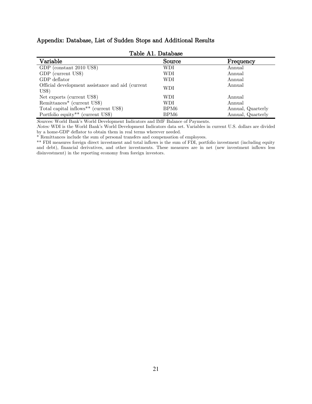# Appendix: Database, List of Sudden Stops and Additional Results

| Variable                                                            | Source | Frequency         |  |  |  |  |  |  |  |  |  |
|---------------------------------------------------------------------|--------|-------------------|--|--|--|--|--|--|--|--|--|
| GDP (constant 2010 US\$)                                            | WDI    | Annual            |  |  |  |  |  |  |  |  |  |
| GDP (current US\$)                                                  | WDI    | Annual            |  |  |  |  |  |  |  |  |  |
| GDP deflator                                                        | WDI    | Annual            |  |  |  |  |  |  |  |  |  |
| Official development assistance and aid (current<br>$\mathrm{US}\$$ | WDI    | Annual            |  |  |  |  |  |  |  |  |  |
| Net exports (current US\$)                                          | WDI    | Annual            |  |  |  |  |  |  |  |  |  |
| Remittances* (current US\$)                                         | WDI    | Annual            |  |  |  |  |  |  |  |  |  |
| Total capital inflows <sup>**</sup> (current US\$)                  | BPM6   | Annual, Quarterly |  |  |  |  |  |  |  |  |  |
| Portfolio equity** (current US\$)                                   | BPM6   | Annual, Quarterly |  |  |  |  |  |  |  |  |  |

#### Table A1. Database

Sources: World Bank's World Development Indicators and IMF Balance of Payments.

Notes: WDI is the World Bank's World Development Indicators data set. Variables in current U.S. dollars are divided by a home-GDP deflator to obtain them in real terms wherever needed.

\* Remittances include the sum of personal transfers and compensation of employees.

\*\* FDI measures foreign direct investment and total inflows is the sum of FDI, portfolio investment (including equity and debt), financial derivatives, and other investments. These measures are in net (new investment inflows less disinvestment) in the reporting economy from foreign investors.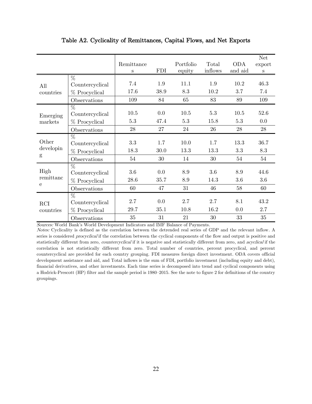|                     |                                            | Remittance<br>$\mathbf S$ | <b>FDI</b>  | Portfolio<br>equity | Total<br>inflows | <b>ODA</b><br>and aid | <b>Net</b><br>export<br>$\mathbf S$ |
|---------------------|--------------------------------------------|---------------------------|-------------|---------------------|------------------|-----------------------|-------------------------------------|
| All                 | $\%$<br>Countercyclical                    | 7.4                       | 1.9         | 11.1                | 1.9              | 10.2                  | 46.3                                |
| countries           | $%$ Procyclical                            | 17.6                      | 38.9        | 8.3                 | 10.2             | 3.7                   | 7.4                                 |
|                     | Observations                               | 109                       | 84          | 65                  | 83               | 89                    | 109                                 |
| Emerging<br>markets | $\%$<br>Countercyclical                    | 10.5                      | 0.0         | 10.5                | 5.3              | 10.5                  | 52.6                                |
|                     | % Procyclical                              | $5.3\,$                   | 47.4        | $5.3\,$             | 15.8             | $5.3\,$               | 0.0                                 |
|                     | Observations                               | 28                        | 27          | 24                  | 26               | 28                    | 28                                  |
| Other<br>developin  | $\%$<br>Countercyclical<br>$%$ Procyclical | 3.3<br>18.3               | 1.7<br>30.0 | 10.0<br>13.3        | 1.7<br>13.3      | 13.3<br>3.3           | 36.7<br>8.3                         |
| $\mathbf{g}$        | Observations                               | 54                        | 30          | 14                  | 30               | 54                    | 54                                  |
| High<br>remittanc   | $\%$<br>Countercyclical<br>% Procyclical   | 3.6<br>28.6               | 0.0<br>35.7 | 8.9<br>8.9          | 3.6<br>14.3      | 8.9<br>3.6            | 44.6<br>3.6                         |
| e                   | Observations                               | 60                        | 47          | 31                  | 46               | 58                    | 60                                  |
| RCI<br>countries    | $\%$<br>Countercyclical<br>$%$ Procyclical | 2.7<br>29.7               | 0.0<br>35.1 | 2.7<br>10.8         | 2.7<br>16.2      | 8.1<br>0.0            | 43.2<br>2.7                         |
|                     | Observations                               | 35                        | 31          | 21                  | 30               | 33                    | 35                                  |

#### Table A2. Cyclicality of Remittances, Capital Flows, and Net Exports

Sources: World Bank's World Development Indicators and IMF Balance of Payments.

Notes: Cyclicality is defined as the correlation between the detrended real series of GDP and the relevant inflow. A series is considered *procyclical* if the correlation between the cyclical components of the flow and output is positive and statistically different from zero, countercyclical if it is negative and statistically different from zero, and acyclical if the correlation is not statistically different from zero. Total number of countries, percent procyclical, and percent countercyclical are provided for each country grouping. FDI measures foreign direct investment. ODA covers official development assistance and aid, and Total inflows is the sum of FDI, portfolio investment (including equity and debt), financial derivatives, and other investments. Each time series is decomposed into trend and cyclical components using a Hodrick-Prescott (HP) filter and the sample period is 1980–2015. See the note to figure 2 for definitions of the country groupings.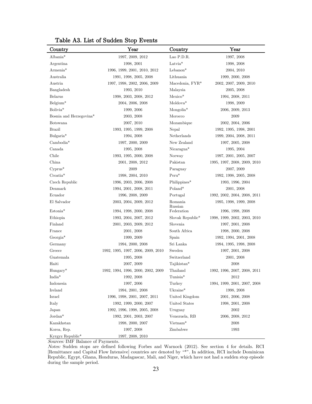| $\rm Country$           | Year                               | Country                 | Year                         |
|-------------------------|------------------------------------|-------------------------|------------------------------|
| Albania*                | 1997, 2009, 2012                   | Lao P.D.R.              | 1997, 2008                   |
| Argentina               | 1998, 2001                         | Latvia*                 | 1998, 2008                   |
| Armenia*                | 1996, 1999, 2001, 2010, 2012       | $Lebanon*$              | 2004, 2010                   |
| Australia               | 1991, 1998, 2005, 2008             | Lithuania               | 1999, 2000, 2008             |
| Austria                 | 1997, 1998, 2002, 2006, 2009       | Macedonia, FYR*         | 2002, 2007, 2009, 2010       |
| Bangladesh              | 1993, 2010                         | Malaysia                | 2005, 2008                   |
| Belarus                 | 1998, 2003, 2008, 2012             | $Mexico*$               | 1994, 2008, 2011             |
| Belgium*                | 2004, 2006, 2008                   | Moldova*                | 1998, 2009                   |
| Bolivia*                | 1999, 2006                         | Mongolia*               | 2006, 2009, 2013             |
| Bosnia and Herzegovina* | 2003, 2008                         | Morocco                 | 2009                         |
| Botswana                | 2007, 2010                         | Mozambique              | 2002, 2004, 2006             |
| <b>Brazil</b>           | 1993, 1995, 1999, 2008             | Nepal                   | 1992, 1995, 1998, 2001       |
| Bulgaria*               | 1994, 2008                         | Netherlands             | 1999, 2004, 2008, 2011       |
| $Cambodia*$             | 1997, 2000, 2009                   | New Zealand             | 1997, 2005, 2008             |
| Canada                  | 1995, 2008                         | Nicaragua*              | 1995, 2004                   |
| Chile                   | 1993, 1995, 2000, 2008             | Norway                  | 1997, 2001, 2005, 2007       |
| China                   | 2001, 2008, 2012                   | Pakistan                | 1995, 1997, 2008, 2009, 2010 |
| $Cvprus*$               | 2009                               | Paraguay                | 2007, 2009                   |
| $C_{\text{roatia}}$ *   | 1998, 2004, 2010                   | $Peru^*$                | 1992, 1998, 2005, 2008       |
| Czech Republic          | 1996, 2003, 2006, 2008             | Philippines*            | 1993, 1996, 2004             |
| Denmark                 | 1994, 2001, 2008, 2011             | Poland*                 | 2001, 2008                   |
| Ecuador                 | 1996, 2008, 2009                   | Portugal                | 1992, 2002, 2004, 2008, 2011 |
| El Salvador             | 2003, 2004, 2009, 2012             | Romania<br>Russian      | 1995, 1998, 1999, 2008       |
| Estonia <sup>*</sup>    | 1994, 1998, 2000, 2008             | Federation              | 1996, 1998, 2008             |
| Ethiopia                | 1993, 2004, 2007, 2012             | Slovak Republic*        | 1998, 1999, 2002, 2003, 2010 |
| Finland                 | 2001, 2003, 2009, 2012             | Slovenia                | 1997, 2001, 2008             |
| France                  | 2001, 2008                         | South Africa            | 1998, 2000, 2008             |
| $Georgia*$              | 1999, 2009                         | Spain                   | 1992, 1994, 2001, 2008       |
| Germany                 | 1994, 2000, 2008                   | Sri Lanka               | 1994, 1995, 1998, 2008       |
| Greece                  | 1992, 1995, 1997, 2006, 2009, 2010 | Sweden                  | 1997, 2001, 2008             |
| Guatemala               | 1995, 2008                         | Switzerland             | 2001, 2008                   |
| Haiti                   | 2007, 2009                         | Tajikistan*             | 2008                         |
| $Hungary*$              | 1992, 1994, 1996, 2000, 2002, 2009 | Thailand                | 1992, 1996, 2007, 2008, 2011 |
| India <sup>*</sup>      | 1992, 2008                         | Tunisia <sup>*</sup>    | 2012                         |
| Indonesia               | 1997, 2006                         | Turkey                  | 1994, 1999, 2001, 2007, 2008 |
| Ireland                 | 1994, 2001, 2008                   | $Ukraise**$             | 1998, 2008                   |
| Israel                  | 1996, 1998, 2001, 2007, 2011       | United Kingdom          | 2001, 2006, 2008             |
| Italy                   | 1992, 1999, 2000, 2007             | United States           | 1998, 2001, 2008             |
| Japan                   | 1992, 1996, 1998, 2005, 2008       | Uruguay                 | 2002                         |
| $Jordan*$               | 1992, 2001, 2003, 2007             | Venezuela, RB           | 2006, 2008, 2012             |
| Kazakhstan              | 1998, 2000, 2007                   | $V$ ietnam <sup>*</sup> | 2008                         |
| Korea, Rep.             | 1997, 2008                         | Zimbabwe                | 1993                         |
| Kyrgyz Republic*        | 1997, 2008, 2010                   |                         |                              |

Table A3. List of Sudden Stop Events

Sources: IMF Balance of Payments.

Notes: Sudden stops are defined following Forbes and Warnock (2012). See section 4 for details. RCI [Remittance and Capital Flow Intensive] countries are denoted by "\*". In addition, RCI include Dominican Republic, Egypt, Ghana, Honduras, Madagascar, Mali, and Niger, which have not had a sudden stop episode during the sample period.